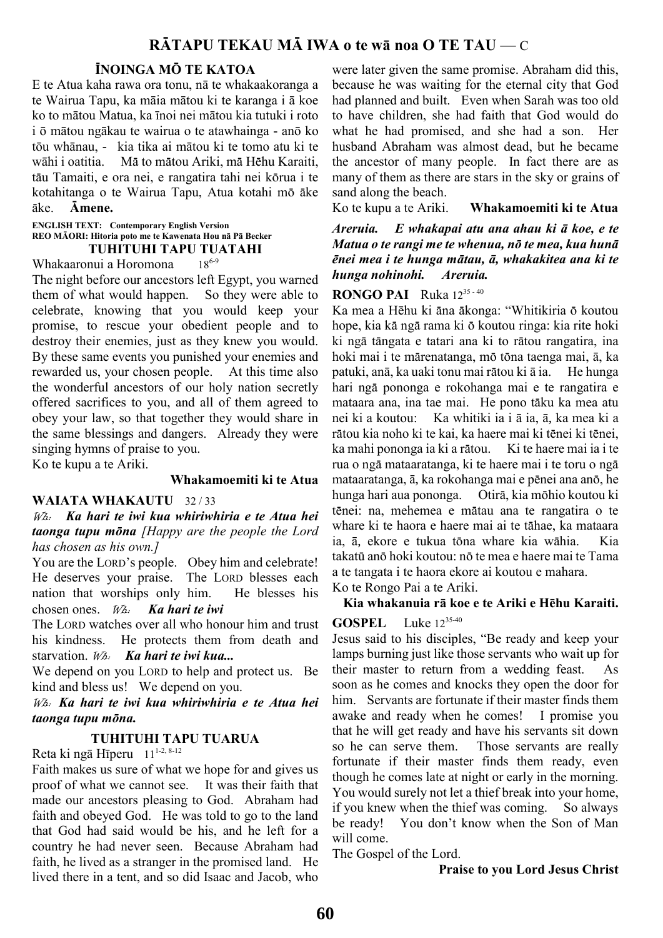# RÄTAPU TEKAU MÄ IWA o te w**ā noa** O TE TAU — C

## ÏNOINGA MÖ TE KATOA

E te Atua kaha rawa ora tonu, nā te whakaakoranga a te Wairua Tapu, ka māia mātou ki te karanga i ā koe ko to mātou Matua, ka īnoi nei mātou kia tutuki i roto i ō mātou ngākau te wairua o te atawhainga - anō ko tōu whānau, - kia tika ai mātou ki te tomo atu ki te wāhi i oatitia. Mä to mätou Ariki, mä Hëhu Karaiti, täu Tamaiti, e ora nei, e rangatira tahi nei körua i te kotahitanga o te Wairua Tapu, Atua kotahi mö äke äke. Ämene.

## ENGLISH TEXT: Contemporary English Version REO M**ĀORI: Hitoria poto me te Kawenata Hou nā Pā Becker**

#### **TUHITUHI TAPU TUATAHI**<br>nui a Horomona 18<sup>6-9</sup> Whakaaronui a Horomona

The night before our ancestors left Egypt, you warned them of what would happen. So they were able to celebrate, knowing that you would keep your promise, to rescue your obedient people and to destroy their enemies, just as they knew you would. By these same events you punished your enemies and rewarded us, your chosen people. At this time also the wonderful ancestors of our holy nation secretly offered sacrifices to you, and all of them agreed to obey your law, so that together they would share in the same blessings and dangers. Already they were singing hymns of praise to you.

Ko te kupu a te Ariki.

#### Whakamoemiti ki te Atua

#### WAIATA WHAKAUTU 32/33

Wh: Ka hari te iwi kua whiriwhiria e te Atua hei taonga tupu mona [Happy are the people the Lord has chosen as his own.]

You are the LORD's people. Obey him and celebrate! He deserves your praise. The LORD blesses each nation that worships only him. He blesses his chosen ones.  $W_a$ . Ka hari te iwi

The LORD watches over all who honour him and trust his kindness. He protects them from death and starvation. W<sub>2</sub>. Ka hari te iwi kua...

We depend on you LORD to help and protect us. Be kind and bless us! We depend on you.

Wh: Ka hari te iwi kua whiriwhiria e te Atua hei taonga tupu möna.

#### TUHITUHI TAPU TUARUA

Reta ki ngā Hīperu 11 1-2, 8-12

Faith makes us sure of what we hope for and gives us proof of what we cannot see. It was their faith that made our ancestors pleasing to God. Abraham had faith and obeyed God. He was told to go to the land that God had said would be his, and he left for a country he had never seen. Because Abraham had faith, he lived as a stranger in the promised land. He lived there in a tent, and so did Isaac and Jacob, who

were later given the same promise. Abraham did this, because he was waiting for the eternal city that God had planned and built. Even when Sarah was too old to have children, she had faith that God would do what he had promised, and she had a son. Her husband Abraham was almost dead, but he became the ancestor of many people. In fact there are as many of them as there are stars in the sky or grains of sand along the beach.

Ko te kupu a te Ariki. Whakamoemiti ki te Atua

Areruia. E whakapai atu ana ahau ki *ā* koe, e te Matua o te rangi me te whenua, nö te mea, kua hunä ënei mea i te hunga mätau, *ā*, whakakitea ana ki te hunga nohinohi. Areruia.

**RONGO PAI** Ruka  $12^{35-40}$ 

Ka mea a Hēhu ki äna äkonga: "Whitikiria ö koutou hope, kia kä ngä rama ki ö koutou ringa: kia rite hoki ki ngä tängata e tatari ana ki to rätou rangatira, ina hoki mai i te märenatanga, mö töna taenga mai, ā, ka patuki, anā, ka uaki tonu mai rätou ki ā ia. He hunga hari ngä pononga e rokohanga mai e te rangatira e mataara ana, ina tae mai. He pono täku ka mea atu nei ki a koutou: Ka whitiki ia i ā ia, ā, ka mea ki a rätou kia noho ki te kai, ka haere mai ki tënei ki tënei, ka mahi pononga ia ki a rātou. Ki te haere mai ia i te rua o ngä mataaratanga, ki te haere mai i te toru o ngä mataaratanga, ā, ka rokohanga mai e pënei ana anö, he hunga hari aua pononga. Otirä, kia möhio koutou ki tënei: na, mehemea e mätau ana te rangatira o te whare ki te haora e haere mai ai te tähae, ka mataara ia, ā, ekore e tukua töna whare kia wähia. Kia takatü anö hoki koutou: nö te mea e haere mai te Tama a te tangata i te haora ekore ai koutou e mahara. Ko te Rongo Pai a te Ariki.

Kia whakanuia r**ā koe e te Ariki e Hēhu Karaiti.**

#### **GOSPEL** Luke  $12^{35-40}$

Jesus said to his disciples, "Be ready and keep your lamps burning just like those servants who wait up for their master to return from a wedding feast. As soon as he comes and knocks they open the door for him. Servants are fortunate if their master finds them awake and ready when he comes! I promise you that he will get ready and have his servants sit down so he can serve them. Those servants are really fortunate if their master finds them ready, even though he comes late at night or early in the morning. You would surely not let a thief break into your home, if you knew when the thief was coming. So always be ready! You don't know when the Son of Man will come.

The Gospel of the Lord.

Praise to you Lord Jesus Christ